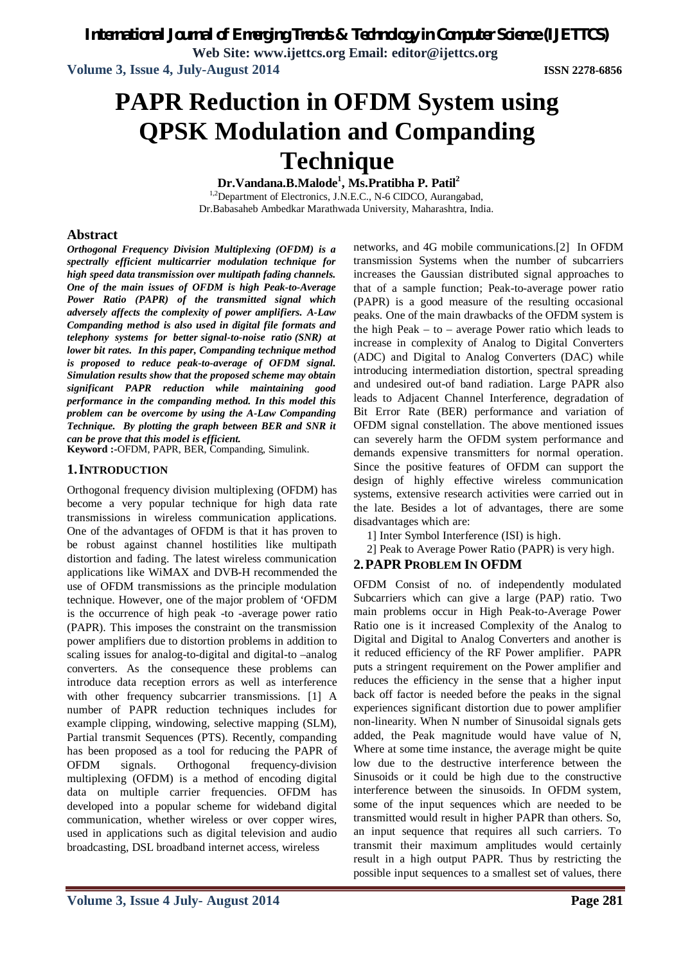*International Journal of Emerging Trends & Technology in Computer Science (IJETTCS)*

**Web Site: www.ijettcs.org Email: editor@ijettcs.org**

**Volume 3, Issue 4, July-August 2014 ISSN 2278-6856**

# **PAPR Reduction in OFDM System using QPSK Modulation and Companding Technique**

**Dr.Vandana.B.Malode<sup>1</sup> , Ms.Pratibha P. Patil<sup>2</sup>**

<sup>1,2</sup>Department of Electronics, J.N.E.C., N-6 CIDCO, Aurangabad, Dr.Babasaheb Ambedkar Marathwada University, Maharashtra, India.

# **Abstract**

*Orthogonal Frequency Division Multiplexing (OFDM) is a spectrally efficient multicarrier modulation technique for high speed data transmission over multipath fading channels. One of the main issues of OFDM is high Peak-to-Average Power Ratio (PAPR) of the transmitted signal which adversely affects the complexity of power amplifiers. A-Law Companding method is also used in digital file formats and telephony systems for better signal-to-noise ratio (SNR) at lower bit rates. In this paper, Companding technique method is proposed to reduce peak-to-average of OFDM signal. Simulation results show that the proposed scheme may obtain significant PAPR reduction while maintaining good performance in the companding method. In this model this problem can be overcome by using the A-Law Companding Technique. By plotting the graph between BER and SNR it can be prove that this model is efficient.*

**Keyword :-**OFDM, PAPR, BER, Companding, Simulink.

# **1.INTRODUCTION**

Orthogonal frequency division multiplexing (OFDM) has become a very popular technique for high data rate transmissions in wireless communication applications. One of the advantages of OFDM is that it has proven to be robust against channel hostilities like multipath distortion and fading. The latest wireless communication applications like WiMAX and DVB-H recommended the use of OFDM transmissions as the principle modulation technique. However, one of the major problem of 'OFDM is the occurrence of high peak -to -average power ratio (PAPR). This imposes the constraint on the transmission power amplifiers due to distortion problems in addition to scaling issues for analog-to-digital and digital-to –analog converters. As the consequence these problems can introduce data reception errors as well as interference with other frequency subcarrier transmissions. [1] A number of PAPR reduction techniques includes for example clipping, windowing, selective mapping (SLM), Partial transmit Sequences (PTS). Recently, companding has been proposed as a tool for reducing the PAPR of OFDM signals. Orthogonal frequency-division multiplexing (OFDM) is a method of encoding digital data on multiple carrier frequencies. OFDM has developed into a popular scheme for wideband digital communication, whether wireless or over copper wires, used in applications such as digital television and audio broadcasting, DSL broadband internet access, wireless

networks, and 4G mobile communications.[2] In OFDM transmission Systems when the number of subcarriers increases the Gaussian distributed signal approaches to that of a sample function; Peak-to-average power ratio (PAPR) is a good measure of the resulting occasional peaks. One of the main drawbacks of the OFDM system is the high Peak – to – average Power ratio which leads to increase in complexity of Analog to Digital Converters (ADC) and Digital to Analog Converters (DAC) while introducing intermediation distortion, spectral spreading and undesired out-of band radiation. Large PAPR also leads to Adjacent Channel Interference, degradation of Bit Error Rate (BER) performance and variation of OFDM signal constellation. The above mentioned issues can severely harm the OFDM system performance and demands expensive transmitters for normal operation. Since the positive features of OFDM can support the design of highly effective wireless communication systems, extensive research activities were carried out in the late. Besides a lot of advantages, there are some disadvantages which are:

- 1] Inter Symbol Interference (ISI) is high.
- 2] Peak to Average Power Ratio (PAPR) is very high.

# **2.PAPR PROBLEM IN OFDM**

OFDM Consist of no. of independently modulated Subcarriers which can give a large (PAP) ratio. Two main problems occur in High Peak-to-Average Power Ratio one is it increased Complexity of the Analog to Digital and Digital to Analog Converters and another is it reduced efficiency of the RF Power amplifier. PAPR puts a stringent requirement on the Power amplifier and reduces the efficiency in the sense that a higher input back off factor is needed before the peaks in the signal experiences significant distortion due to power amplifier non-linearity. When N number of Sinusoidal signals gets added, the Peak magnitude would have value of N, Where at some time instance, the average might be quite low due to the destructive interference between the Sinusoids or it could be high due to the constructive interference between the sinusoids. In OFDM system, some of the input sequences which are needed to be transmitted would result in higher PAPR than others. So, an input sequence that requires all such carriers. To transmit their maximum amplitudes would certainly result in a high output PAPR. Thus by restricting the possible input sequences to a smallest set of values, there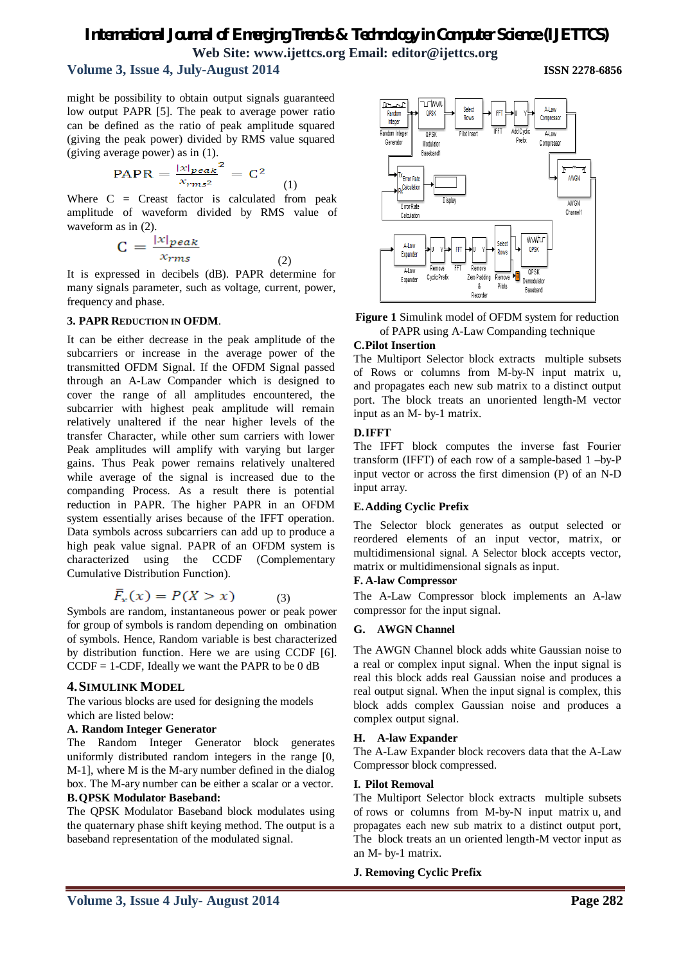# *International Journal of Emerging Trends & Technology in Computer Science (IJETTCS)* **Web Site: www.ijettcs.org Email: editor@ijettcs.org**

# **Volume 3, Issue 4, July-August 2014 ISSN 2278-6856**

might be possibility to obtain output signals guaranteed low output PAPR [5]. The peak to average power ratio can be defined as the ratio of peak amplitude squared (giving the peak power) divided by RMS value squared (giving average power) as in (1).

$$
PAPR = \frac{|x|_{peak}^2}{x_{rms^2}} = C^2
$$
 (1)

Where  $C =$  Creast factor is calculated from peak amplitude of waveform divided by RMS value of waveform as in (2).

$$
C = \frac{|x|_{peak}}{x_{rms}}
$$

It is expressed in decibels (dB). PAPR determine for many signals parameter, such as voltage, current, power, frequency and phase.

(2)

# **3. PAPR REDUCTION IN OFDM**.

It can be either decrease in the peak amplitude of the subcarriers or increase in the average power of the transmitted OFDM Signal. If the OFDM Signal passed through an A-Law Compander which is designed to cover the range of all amplitudes encountered, the subcarrier with highest peak amplitude will remain relatively unaltered if the near higher levels of the transfer Character, while other sum carriers with lower Peak amplitudes will amplify with varying but larger gains. Thus Peak power remains relatively unaltered while average of the signal is increased due to the companding Process. As a result there is potential reduction in PAPR. The higher PAPR in an OFDM system essentially arises because of the IFFT operation. Data symbols across subcarriers can add up to produce a high peak value signal. PAPR of an OFDM system is characterized using the CCDF (Complementary Cumulative Distribution Function).

$$
\bar{F}_x(x) = P(X > x) \tag{3}
$$

Symbols are random, instantaneous power or peak power for group of symbols is random depending on ombination of symbols. Hence, Random variable is best characterized by distribution function. Here we are using CCDF [6].  $CCDF = 1-CDF$ , Ideally we want the PAPR to be 0 dB

# **4.SIMULINK MODEL**

The various blocks are used for designing the models which are listed below:

# **A. Random Integer Generator**

The Random Integer Generator block generates uniformly distributed random integers in the range [0, M-1], where M is the M-ary number defined in the dialog box. The M-ary number can be either a scalar or a vector*.* **B.QPSK Modulator Baseband:**

# The QPSK Modulator Baseband block modulates using the quaternary phase shift keying method. The output is a baseband representation of the modulated signal.





# **C.Pilot Insertion**

The Multiport Selector block extracts multiple subsets of Rows or columns from M-by-N input matrix u, and propagates each new sub matrix to a distinct output port. The block treats an unoriented length-M vector input as an M- by-1 matrix.

# **D.IFFT**

The IFFT block computes the inverse fast Fourier transform (IFFT) of each row of a sample-based 1 –by-P input vector or across the first dimension (P) of an N-D input array.

# **E.Adding Cyclic Prefix**

The Selector block generates as output selected or reordered elements of an input vector, matrix, or multidimensional signal. A Selector block accepts vector, matrix or multidimensional signals as input.

# **F. A-law Compressor**

The A-Law Compressor block implements an A-law compressor for the input signal.

# **G. AWGN Channel**

The AWGN Channel block adds white Gaussian noise to a real or complex input signal. When the input signal is real this block adds real Gaussian noise and produces a real output signal. When the input signal is complex, this block adds complex Gaussian noise and produces a complex output signal.

# **H. A-law Expander**

The A-Law Expander block recovers data that the A-Law Compressor block compressed.

# **I. Pilot Removal**

The Multiport Selector block extracts multiple subsets of rows or columns from M-by-N input matrix u, and propagates each new sub matrix to a distinct output port, The block treats an un oriented length-M vector input as an M- by-1 matrix.

# **J. Removing Cyclic Prefix**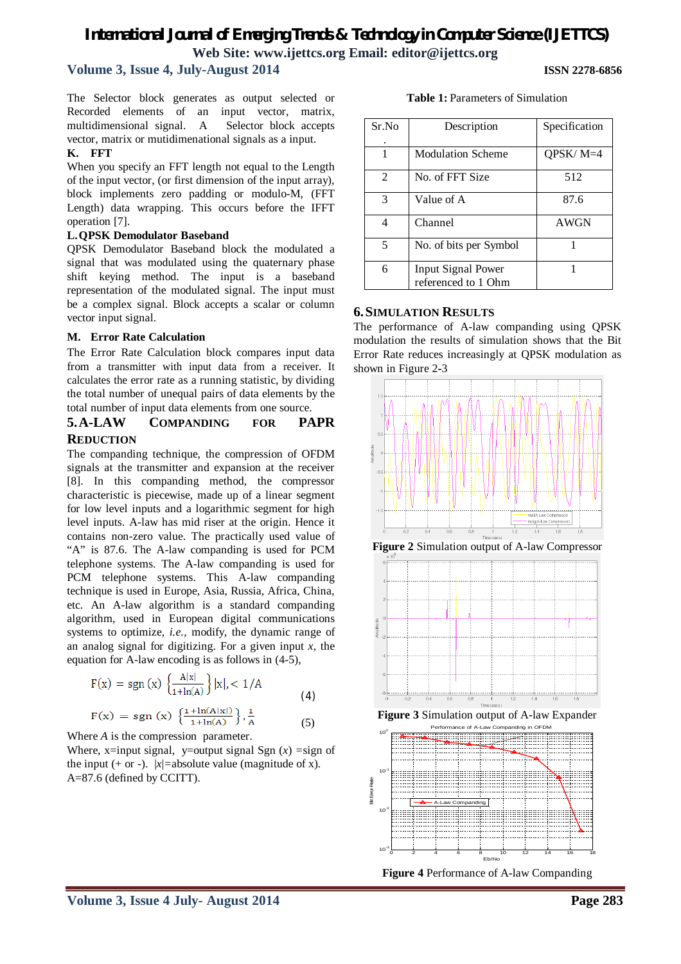# *International Journal of Emerging Trends & Technology in Computer Science (IJETTCS)* **Web Site: www.ijettcs.org Email: editor@ijettcs.org**

# **Volume 3, Issue 4, July-August 2014 ISSN 2278-6856**

The Selector block generates as output selected or Recorded elements of an input vector, matrix, multidimensional signal. A Selector block accepts vector, matrix or mutidimenational signals as a input.

#### **K. FFT**

When you specify an FFT length not equal to the Length of the input vector, (or first dimension of the input array), block implements zero padding or modulo-M, (FFT Length) data wrapping. This occurs before the IFFT operation [7].

#### **L.QPSK Demodulator Baseband**

QPSK Demodulator Baseband block the modulated a signal that was modulated using the quaternary phase shift keying method. The input is a baseband representation of the modulated signal. The input must be a complex signal. Block accepts a scalar or column vector input signal.

# **M. Error Rate Calculation**

The Error Rate Calculation block compares input data from a transmitter with input data from a receiver. It calculates the error rate as a running statistic, by dividing the total number of unequal pairs of data elements by the total number of input data elements from one source.

# **5.A-LAW COMPANDING FOR PAPR REDUCTION**

The companding technique, the compression of OFDM signals at the transmitter and expansion at the receiver [8]. In this companding method, the compressor characteristic is piecewise, made up of a linear segment for low level inputs and a logarithmic segment for high level inputs. A-law has mid riser at the origin. Hence it contains non-zero value. The practically used value of "A" is 87.6. The A-law companding is used for PCM telephone systems. The A-law companding is used for PCM telephone systems. This A-law companding technique is used in Europe, Asia, Russia, Africa, China, etc. An A-law algorithm is a standard companding algorithm, used in European digital communications systems to optimize, *i.e.,* modify, the dynamic range of an analog signal for digitizing. For a given input *x*, the equation for A-law encoding is as follows in (4-5),

$$
F(x) = sgn(x) \left\{ \frac{A|x|}{1 + ln(A)} \right\} |x|, < 1/A
$$
  
(4)  

$$
F(x) = sgn(x) \left\{ \frac{1 + ln(A|x|)}{1 + ln(A|x|)} \right\} \frac{1}{2}
$$

$$
f(x) = sgn(x) \{ \frac{1}{1 + ln(A)} \}^n
$$
 (5)

Where *A* is the compression parameter.

Where, x=input signal, y=output signal Sgn  $(x)$  =sign of the input (+ or -).  $|x|$ =absolute value (magnitude of x). A=87.6 (defined by CCITT).

| Sr.No                       | Description                                      | Specification |
|-----------------------------|--------------------------------------------------|---------------|
|                             | <b>Modulation Scheme</b>                         | QPSK/ $M=4$   |
| $\mathcal{D}_{\mathcal{L}}$ | No. of FFT Size                                  | 512           |
| 3                           | Value of A                                       | 87.6          |
|                             | Channel                                          | <b>AWGN</b>   |
| 5                           | No. of bits per Symbol                           |               |
| 6                           | <b>Input Signal Power</b><br>referenced to 1 Ohm |               |

#### **Table 1:** Parameters of Simulation

# **6.SIMULATION RESULTS**

The performance of A-law companding using QPSK modulation the results of simulation shows that the Bit Error Rate reduces increasingly at QPSK modulation as shown in Figure 2**-**3











**Figure 4** Performance of A-law Companding